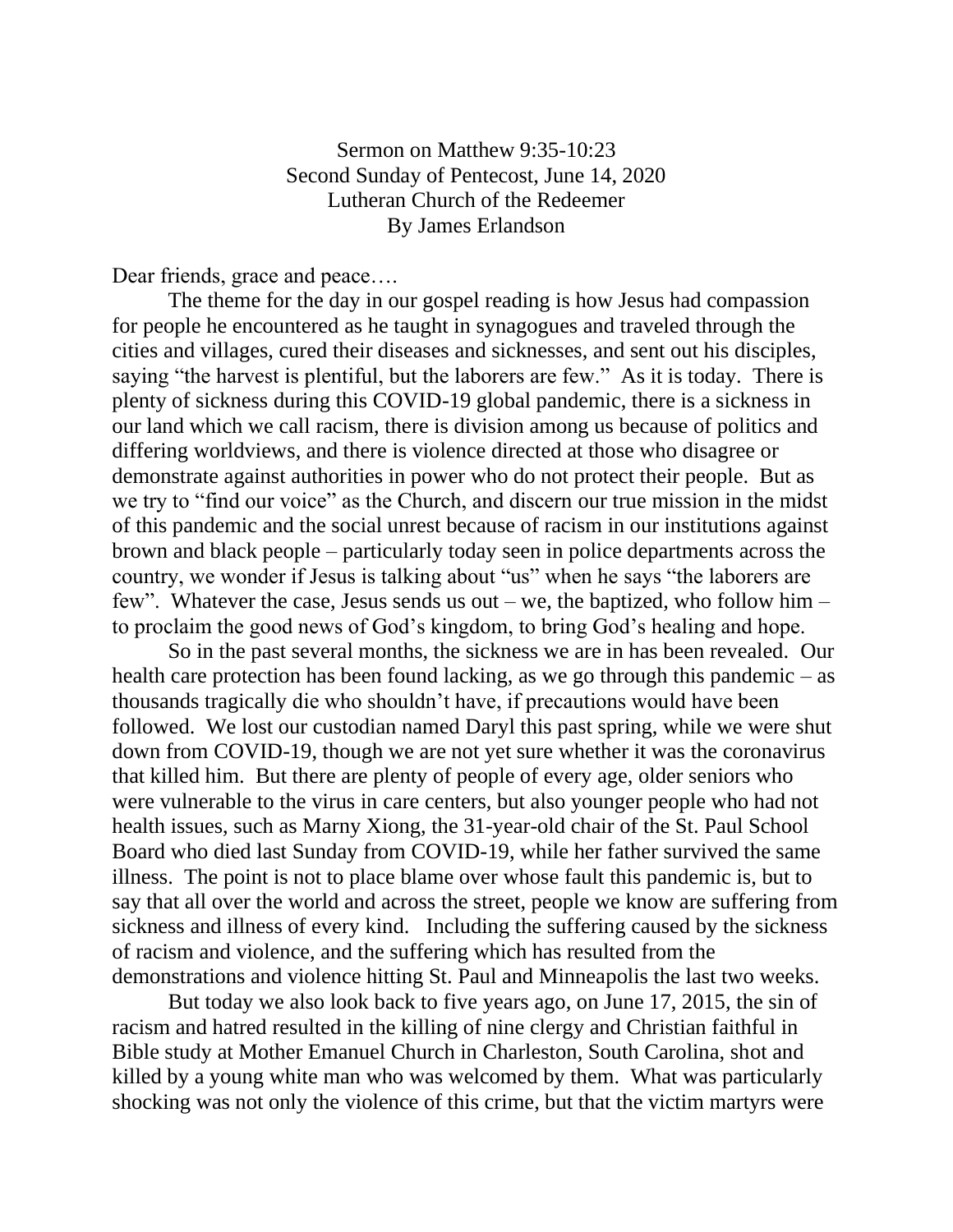Sermon on Matthew 9:35-10:23 Second Sunday of Pentecost, June 14, 2020 Lutheran Church of the Redeemer By James Erlandson

Dear friends, grace and peace....

The theme for the day in our gospel reading is how Jesus had compassion for people he encountered as he taught in synagogues and traveled through the cities and villages, cured their diseases and sicknesses, and sent out his disciples, saying "the harvest is plentiful, but the laborers are few." As it is today. There is plenty of sickness during this COVID-19 global pandemic, there is a sickness in our land which we call racism, there is division among us because of politics and differing worldviews, and there is violence directed at those who disagree or demonstrate against authorities in power who do not protect their people. But as we try to "find our voice" as the Church, and discern our true mission in the midst of this pandemic and the social unrest because of racism in our institutions against brown and black people – particularly today seen in police departments across the country, we wonder if Jesus is talking about "us" when he says "the laborers are few". Whatever the case, Jesus sends us out – we, the baptized, who follow him – to proclaim the good news of God's kingdom, to bring God's healing and hope.

So in the past several months, the sickness we are in has been revealed. Our health care protection has been found lacking, as we go through this pandemic – as thousands tragically die who shouldn't have, if precautions would have been followed. We lost our custodian named Daryl this past spring, while we were shut down from COVID-19, though we are not yet sure whether it was the coronavirus that killed him. But there are plenty of people of every age, older seniors who were vulnerable to the virus in care centers, but also younger people who had not health issues, such as Marny Xiong, the 31-year-old chair of the St. Paul School Board who died last Sunday from COVID-19, while her father survived the same illness. The point is not to place blame over whose fault this pandemic is, but to say that all over the world and across the street, people we know are suffering from sickness and illness of every kind. Including the suffering caused by the sickness of racism and violence, and the suffering which has resulted from the demonstrations and violence hitting St. Paul and Minneapolis the last two weeks.

But today we also look back to five years ago, on June 17, 2015, the sin of racism and hatred resulted in the killing of nine clergy and Christian faithful in Bible study at Mother Emanuel Church in Charleston, South Carolina, shot and killed by a young white man who was welcomed by them. What was particularly shocking was not only the violence of this crime, but that the victim martyrs were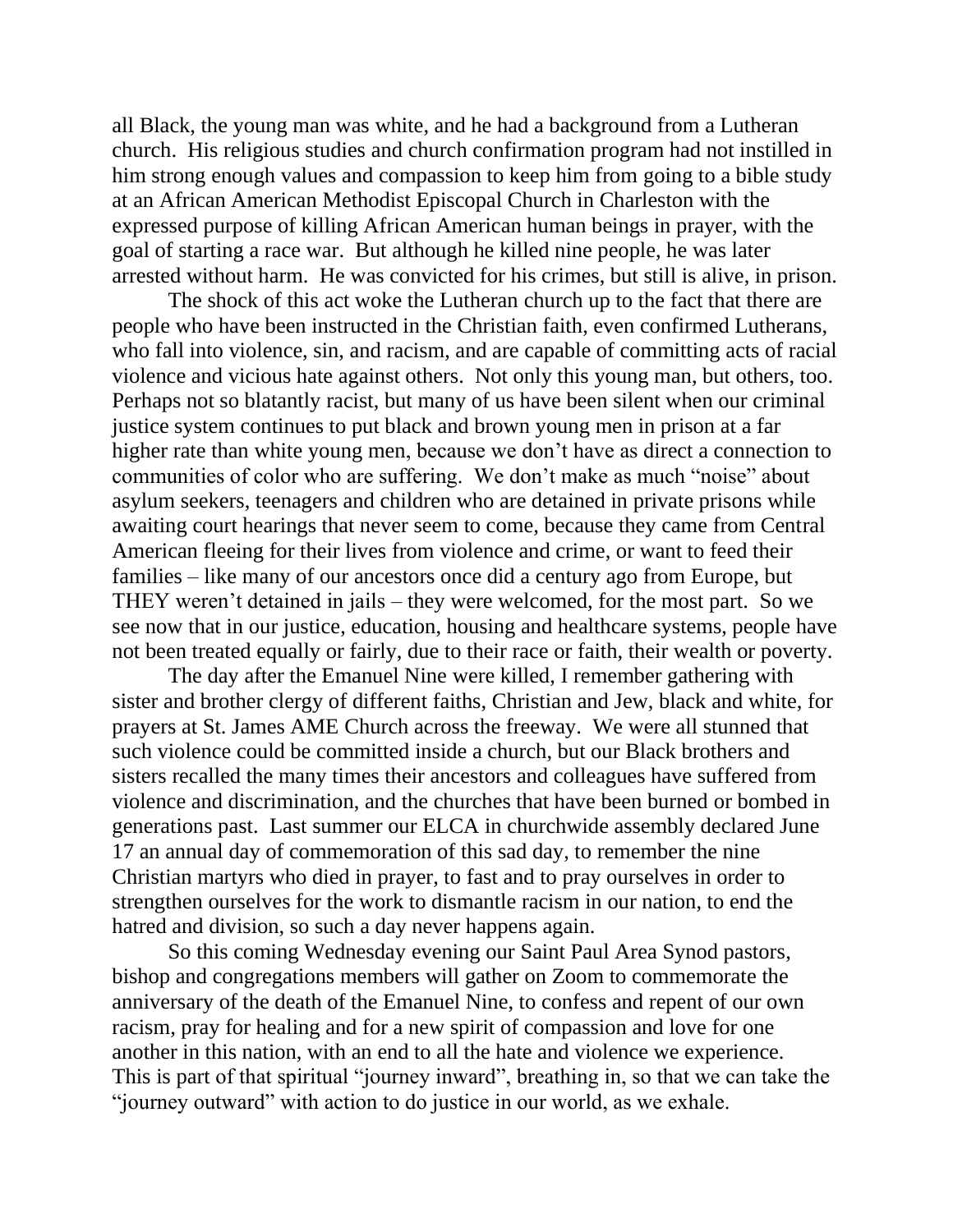all Black, the young man was white, and he had a background from a Lutheran church. His religious studies and church confirmation program had not instilled in him strong enough values and compassion to keep him from going to a bible study at an African American Methodist Episcopal Church in Charleston with the expressed purpose of killing African American human beings in prayer, with the goal of starting a race war. But although he killed nine people, he was later arrested without harm. He was convicted for his crimes, but still is alive, in prison.

The shock of this act woke the Lutheran church up to the fact that there are people who have been instructed in the Christian faith, even confirmed Lutherans, who fall into violence, sin, and racism, and are capable of committing acts of racial violence and vicious hate against others. Not only this young man, but others, too. Perhaps not so blatantly racist, but many of us have been silent when our criminal justice system continues to put black and brown young men in prison at a far higher rate than white young men, because we don't have as direct a connection to communities of color who are suffering. We don't make as much "noise" about asylum seekers, teenagers and children who are detained in private prisons while awaiting court hearings that never seem to come, because they came from Central American fleeing for their lives from violence and crime, or want to feed their families – like many of our ancestors once did a century ago from Europe, but THEY weren't detained in jails – they were welcomed, for the most part. So we see now that in our justice, education, housing and healthcare systems, people have not been treated equally or fairly, due to their race or faith, their wealth or poverty.

The day after the Emanuel Nine were killed, I remember gathering with sister and brother clergy of different faiths, Christian and Jew, black and white, for prayers at St. James AME Church across the freeway. We were all stunned that such violence could be committed inside a church, but our Black brothers and sisters recalled the many times their ancestors and colleagues have suffered from violence and discrimination, and the churches that have been burned or bombed in generations past. Last summer our ELCA in churchwide assembly declared June 17 an annual day of commemoration of this sad day, to remember the nine Christian martyrs who died in prayer, to fast and to pray ourselves in order to strengthen ourselves for the work to dismantle racism in our nation, to end the hatred and division, so such a day never happens again.

So this coming Wednesday evening our Saint Paul Area Synod pastors, bishop and congregations members will gather on Zoom to commemorate the anniversary of the death of the Emanuel Nine, to confess and repent of our own racism, pray for healing and for a new spirit of compassion and love for one another in this nation, with an end to all the hate and violence we experience. This is part of that spiritual "journey inward", breathing in, so that we can take the "journey outward" with action to do justice in our world, as we exhale.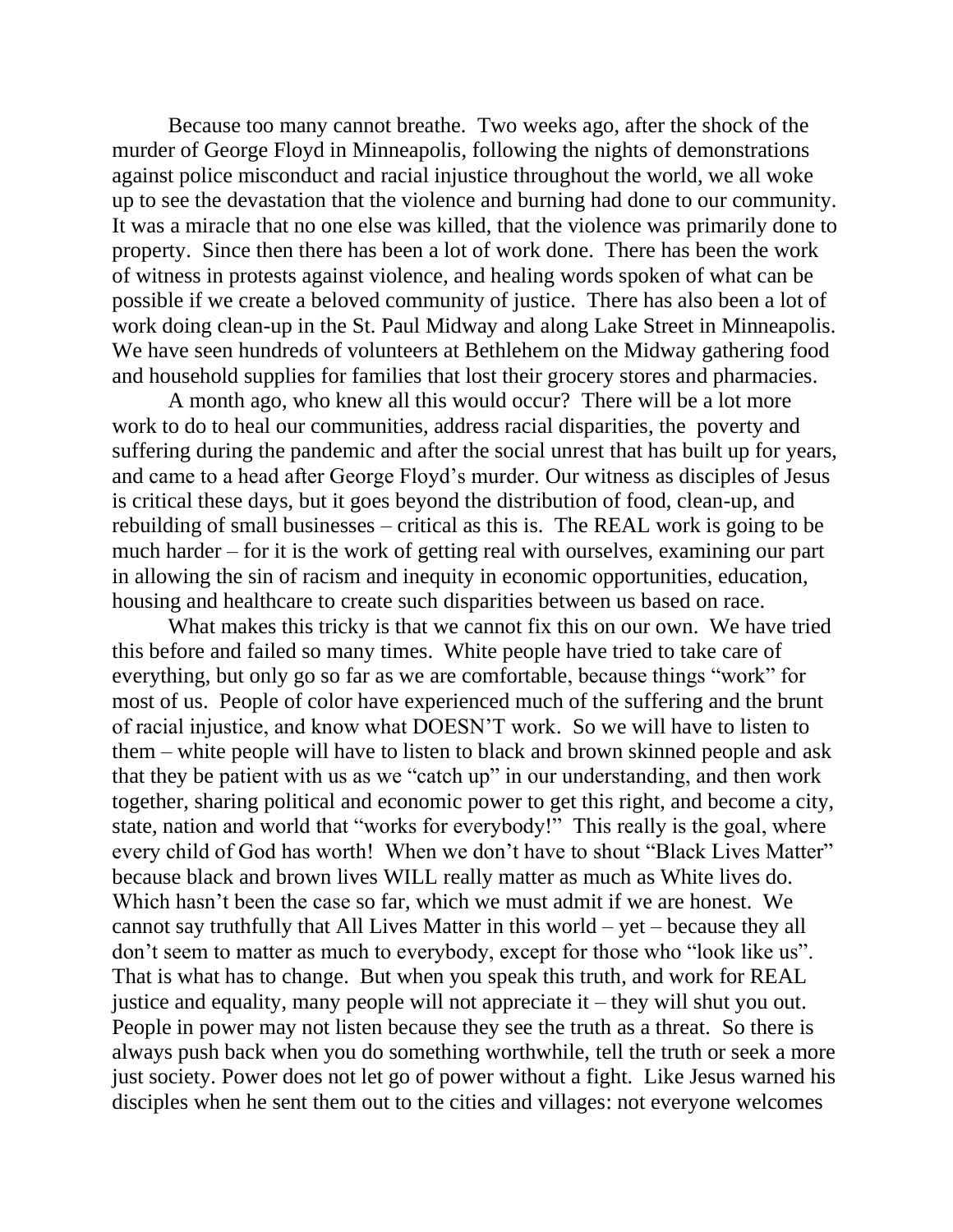Because too many cannot breathe. Two weeks ago, after the shock of the murder of George Floyd in Minneapolis, following the nights of demonstrations against police misconduct and racial injustice throughout the world, we all woke up to see the devastation that the violence and burning had done to our community. It was a miracle that no one else was killed, that the violence was primarily done to property. Since then there has been a lot of work done. There has been the work of witness in protests against violence, and healing words spoken of what can be possible if we create a beloved community of justice. There has also been a lot of work doing clean-up in the St. Paul Midway and along Lake Street in Minneapolis. We have seen hundreds of volunteers at Bethlehem on the Midway gathering food and household supplies for families that lost their grocery stores and pharmacies.

A month ago, who knew all this would occur? There will be a lot more work to do to heal our communities, address racial disparities, the poverty and suffering during the pandemic and after the social unrest that has built up for years, and came to a head after George Floyd's murder. Our witness as disciples of Jesus is critical these days, but it goes beyond the distribution of food, clean-up, and rebuilding of small businesses – critical as this is. The REAL work is going to be much harder – for it is the work of getting real with ourselves, examining our part in allowing the sin of racism and inequity in economic opportunities, education, housing and healthcare to create such disparities between us based on race.

What makes this tricky is that we cannot fix this on our own. We have tried this before and failed so many times. White people have tried to take care of everything, but only go so far as we are comfortable, because things "work" for most of us. People of color have experienced much of the suffering and the brunt of racial injustice, and know what DOESN'T work. So we will have to listen to them – white people will have to listen to black and brown skinned people and ask that they be patient with us as we "catch up" in our understanding, and then work together, sharing political and economic power to get this right, and become a city, state, nation and world that "works for everybody!" This really is the goal, where every child of God has worth! When we don't have to shout "Black Lives Matter" because black and brown lives WILL really matter as much as White lives do. Which hasn't been the case so far, which we must admit if we are honest. We cannot say truthfully that All Lives Matter in this world – yet – because they all don't seem to matter as much to everybody, except for those who "look like us". That is what has to change. But when you speak this truth, and work for REAL justice and equality, many people will not appreciate it – they will shut you out. People in power may not listen because they see the truth as a threat. So there is always push back when you do something worthwhile, tell the truth or seek a more just society. Power does not let go of power without a fight. Like Jesus warned his disciples when he sent them out to the cities and villages: not everyone welcomes